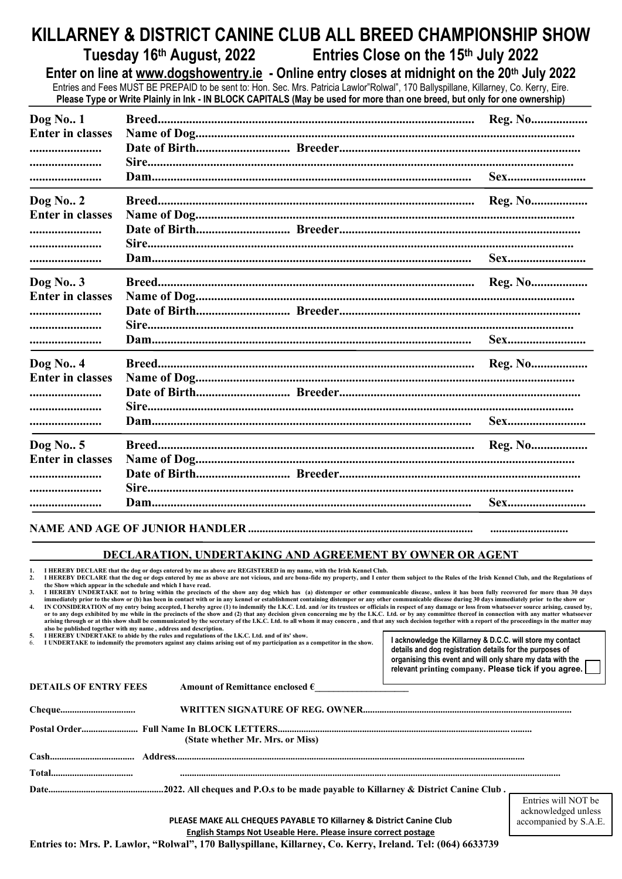# **KILLARNEY & DISTRICT CANINE CLUB ALL BREED CHAMPIONSHIP SHOW**

**Tuesday 16th August, 2022 Entries Close on the 15th July 2022**

**Enter on line at [www.dogshowentry.ie](http://www.dogshowentry.ie/) - Online entry closes at midnight on the 20th July 2022**

Entries and Fees MUST BE PREPAID to be sent to: Hon. Sec. Mrs. Patricia Lawlor"Rolwal", 170 Ballyspillane, Killarney, Co. Kerry, Eire. **Please Type or Write Plainly in Ink - IN BLOCK CAPITALS (May be used for more than one breed, but only for one ownership)**

| <b>Dog No. 1</b><br><b>Enter in classes</b><br><br><br>             |  |
|---------------------------------------------------------------------|--|
| <b>Dog No. 2</b><br><b>Enter in classes</b><br><br><br>             |  |
| <b>Dog No. 3</b><br><b>Enter in classes</b><br><br><br>             |  |
| $\log$ No. 4<br><b>Enter in classes</b><br><b></b><br><br>          |  |
| Dog No. 5<br><b>Enter in classes</b><br>-----------------------<br> |  |

#### NAME AND AGE OF JUNIOR HANDLER ................

### **DECLARATION, UNDERTAKING AND AGREEMENT BY OWNER OR AGENT**

1. I HEREBY DECLARE that the dog or dogs entered by me as above are REGISTERED in my name, with the Irish Kennel Club.<br>2. I HEREBY DECLARE that the dog or dogs entered by me as above are not vicious, and are bona-f **the Show which appear in the schedule and which I have read.**

**3. I** HEREBY UNDERTAKE not to bring within the precincts of the show any dog which has (a) distemper or other communicable disease, unless it has been fully recovered for more than 30 days immediately prior to the show or (b) has been in contact with or in any kennel or establishment containing distemper or any other communicable disease during 30 days immediately prior to the show or<br>IN CONSIDERATION of my

**also be published together with my name , address and description. 5. I HEREBY UNDERTAKE to abide by the rules and regulations of the I.K.C. Ltd. and of its' show.**

6. **I UNDERTAKE to indemnify the promoters against any claims arising out of my participation as a competitor in the show.**

**I acknowledge the Killarney & D.C.C. will store my contact details and dog registration details for the purposes of organising this event and will only share my data with the relevant printing company. Please tick if you agree.**

accompanied by S.A.E.

| <b>DETAILS OF ENTRY FEES</b> | Amount of Remittance enclosed $\epsilon$ |                                            |
|------------------------------|------------------------------------------|--------------------------------------------|
|                              |                                          |                                            |
|                              | (State whether Mr. Mrs. or Miss)         |                                            |
|                              |                                          |                                            |
|                              |                                          |                                            |
|                              |                                          |                                            |
|                              |                                          | Entries will NOT be<br>acknowledged unless |

**PLEASE MAKE ALL CHEQUES PAYABLE TO Killarney & District Canine Club English Stamps Not Useable Here. Please insure correct postage**

**Entries to: Mrs. P. Lawlor, "Rolwal", 170 Ballyspillane, Killarney, Co. Kerry, Ireland. Tel: (064) 6633739**